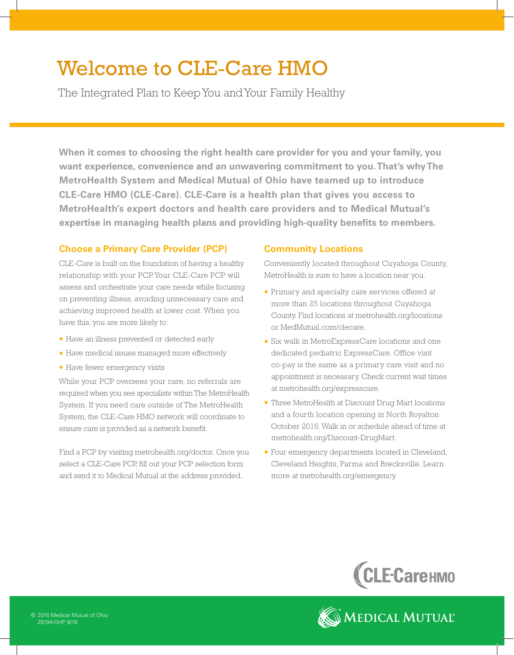# Welcome to CLE-Care HMO

The Integrated Plan to Keep You and Your Family Healthy

**When it comes to choosing the right health care provider for you and your family, you want experience, convenience and an unwavering commitment to you. That's why The MetroHealth System and Medical Mutual of Ohio have teamed up to introduce CLE-Care HMO (CLE-Care). CLE-Care is a health plan that gives you access to MetroHealth's expert doctors and health care providers and to Medical Mutual's expertise in managing health plans and providing high-quality benefits to members.**

## **Choose a Primary Care Provider (PCP)**

CLE-Care is built on the foundation of having a healthy relationship with your PCP. Your CLE-Care PCP will assess and orchestrate your care needs while focusing on preventing illness, avoiding unnecessary care and achieving improved health at lower cost. When you have this, you are more likely to:

- <sup>n</sup> Have an illness prevented or detected early
- **Have medical issues managed more effectively**
- **Have fewer emergency visits**

While your PCP oversees your care, no referrals are required when you see specialists within The MetroHealth System. If you need care outside of The MetroHealth System, the CLE-Care HMO network will coordinate to ensure care is provided as a network benefit.

Find a PCP by visiting metrohealth.org/doctor. Once you select a CLE-Care PCP, fill out your PCP selection form and send it to Medical Mutual at the address provided.

# **Community Locations**

Conveniently located throughout Cuyahoga County, MetroHealth is sure to have a location near you.

- **Primary and specialty care services offered at** more than 25 locations throughout Cuyahoga County. Find locations at metrohealth.org/locations or MedMutual.com/clecare.
- Six walk in MetroExpressCare locations and one dedicated pediatric ExpressCare. Office visit co-pay is the same as a primary care visit and no appointment is necessary. Check current wait times at metrohealth.org/expresscare.
- **n** Three MetroHealth at Discount Drug Mart locations and a fourth location opening in North Royalton October 2016. Walk in or schedule ahead of time at metrohealth.org/Discount-DrugMart.
- Four emergency departments located in Cleveland, Cleveland Heights, Parma and Brecksville. Learn more at metrohealth.org/emergency.



MEDICAL MUTUAL